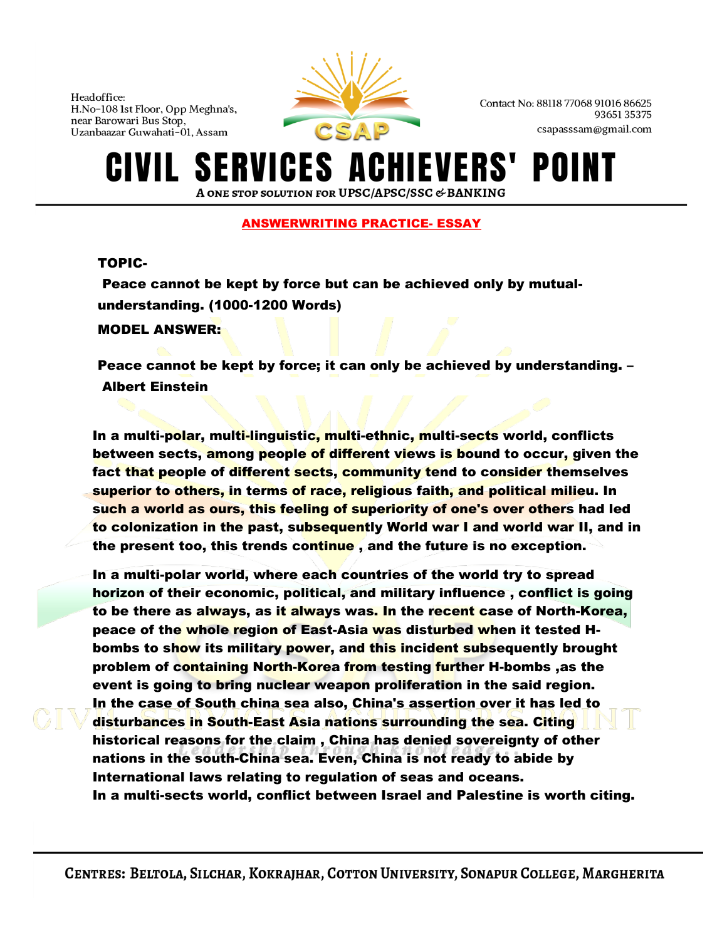

Contact No: 88118 77068 91016 86625 9365135375 csapasssam@gmail.com

### **SERVICES A IEVERS'** POI A ONE STOP SOLUTION FOR UPSC/APSC/SSC & BANKING

## ANSWERWRITING PRACTICE- ESSAY

## TOPIC-

Peace cannot be kept by force but can be achieved only by mutualunderstanding. (1000-1200 Words) MODEL ANSWER:

Peace cannot be kept by force; it can only be achieved by understanding. – Albert [Einstein](http://en.wikipedia.org/wiki/Albert_Einstein)

In a multi-polar, multi-linguistic, multi-ethnic, multi-sects world, conflicts between sects, among people of different views is bound to occur, given the fact that people of different sects, community tend to consider themselves superior to others, in terms of race, religious faith, and political milieu. In such a world as ours, this feeling of superiority of one's over others had led to colonization in the past, subsequently World war I and world war II, and in the present too, this trends continue , and the future is no exception.

In a multi-polar world, where each countries of the world try to spread horizon of their economic, political, and military influence , conflict is going to be there as always, as it always was. In the recent case of North-Korea, peace of the whole region of East-Asia was disturbed when it tested Hbombs to show its military power, and this incident subsequently brought problem of containing North-Korea from testing further H-bombs ,as the event is going to bring nuclear weapon proliferation in the said region. In the case of South china sea also, China's assertion over it has led to disturbances in South-East Asia nations surrounding the sea. Citing historical reasons for the claim , China has denied sovereignty of other nations in the south-China sea. Even, China is not ready to abide by International laws relating to regulation of seas and oceans. In a multi-sects world, conflict between Israel and Palestine is worth citing.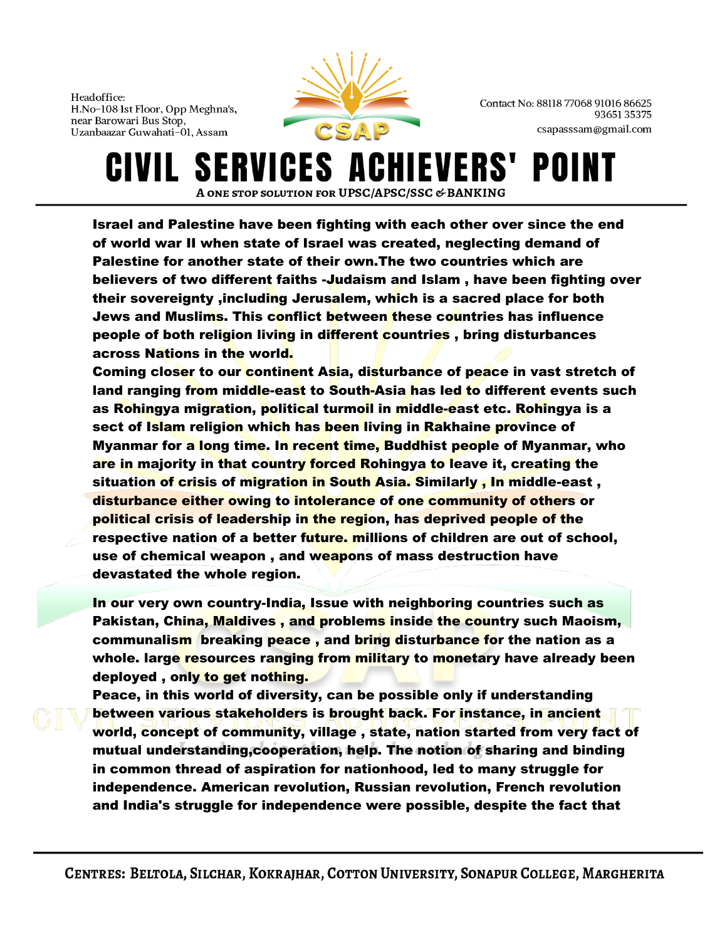

Contact No: 88118 77068 91016 86625 9365135375 csapasssam@gmail.com

**SERVICES A** CIVIL HIEVERS' POII A ONE STOP SOLUTION FOR UPSC/APSC/SSC & BANKING

Israel and Palestine have been fighting with each other over since the end of world war II when state of Israel was created, neglecting demand of Palestine for another state of their own.The two countries which are believers of two different faiths -Judaism and Islam , have been fighting over their sovereignty ,including Jerusalem, which is a sacred place for both Jews and Muslims. This conflict between these countries has influence people of both religion living in different countries, bring disturbances across Nations in the world.

Coming closer to our continent Asia, disturbance of peace in vast stretch of land ranging from middle-east to South-Asia has led to different events such as Rohingya migration, political turmoil in middle-east etc. Rohingya is a sect of Islam religion which has been living in Rakhaine province of Myanmar for a long time. In recent time, Buddhist people of Myanmar, who are in majority in that country forced Rohingya to leave it, creating the situation of crisis of migration in South Asia. Similarly, In middle-east, disturbance either owing to intolerance of one community of others or political crisis of leadership in the region, has deprived people of the respective nation of a better future. millions of children are out of school, use of chemical weapon, and weapons of mass destruction have devastated the whole region.

In our very own country-India, Issue with neighboring countries such as Pakistan, China, Maldives , and problems inside the country such Maoism, communalism breaking peace, and bring disturbance for the nation as a whole. large resources ranging from military to monetary have already been deployed, only to get nothing.

Peace, in this world of diversity, can be possible only if understanding between various stakeholders is brought back. For instance, in ancient world, concept of community, village , state, nation started from very fact of mutual understanding,cooperation, help. The notion of sharing and binding in common thread of aspiration for nationhood, led to many struggle for independence. American revolution, Russian revolution, French revolution and India's struggle for independence were possible, despite the fact that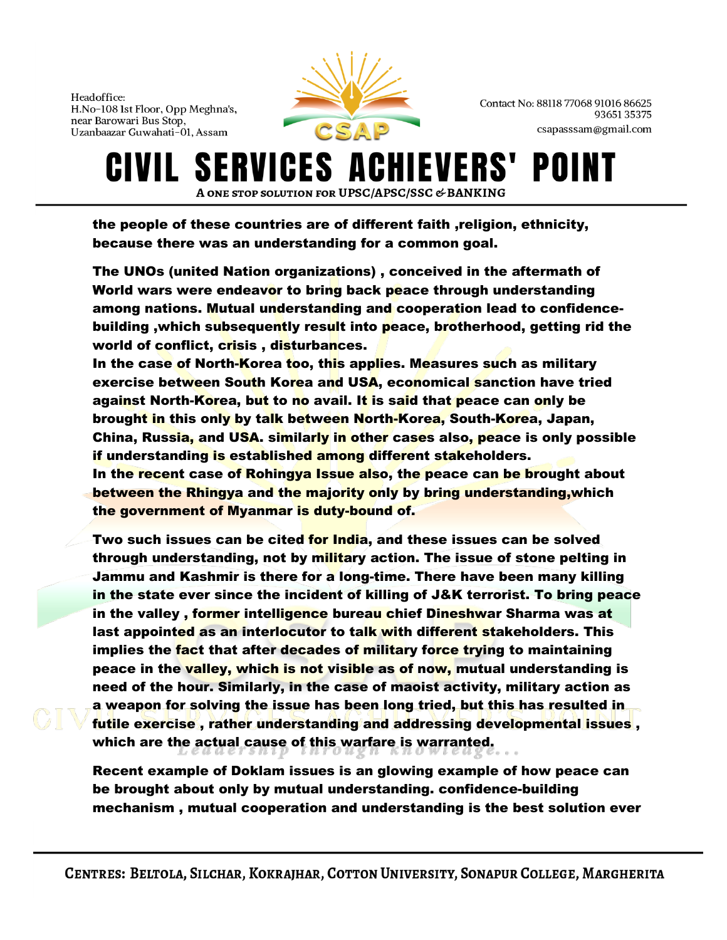

Contact No: 88118 77068 91016 86625 9365135375 csapasssam@gmail.com

### IVIL SERVICES AO **IEVERS'** POII A ONE STOP SOLUTION FOR UPSC/APSC/SSC & BANKING

the people of these countries are of different faith ,religion, ethnicity, because there was an understanding for a common goal.

The UNOs (united Nation organizations) , conceived in the aftermath of World wars were endeavor to bring back peace through understanding among nations. Mutual understanding and cooperation lead to confidencebuilding ,which subsequently result into peace, brotherhood, getting rid the world of conflict, crisis, disturbances.

In the case of North-Korea too, this applies. Measures such as military exercise between South Korea and USA, economical sanction have tried against North-Korea, but to no avail. It is said that peace can only be brought in this only by talk between North-Korea, South-Korea, Japan, China, Russia, and USA. similarly in other cases also, peace is only possible if understanding is established among different stakeholders.

In the recent case of Rohingya Issue also, the peace can be brought about between the Rhingya and the majority only by bring understanding,which the government of Myanmar is duty-bound of.

Two such issues can be cited for India, and these issues can be solved through understanding, not by military action. The issue of stone pelting in Jammu and Kashmir is there for a long-time. There have been many killing in the state ever since the incident of killing of J&K terrorist. To bring peace in the valley, former intelligence bureau chief Dineshwar Sharma was at last appointed as an interlocutor to talk with different stakeholders. This implies the fact that after decades of military force trying to maintaining peace in the valley, which is not visible as of now, mutual understanding is need of the hour. Similarly, in the case of maoist activity, military action as a weapon for solving the issue has been long tried, but this has resulted in futile exercise , rather understanding and addressing developmental issues , which are the actual cause of this warfare is warranted.

Recent example of Doklam issues is an glowing example of how peace can be brought about only by mutual understanding. confidence-building mechanism , mutual cooperation and understanding is the best solution ever